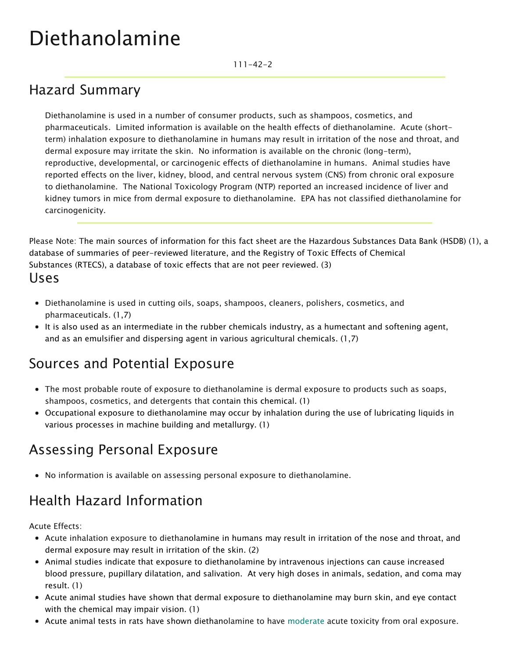# Diethanolamine

111-42-2

### Hazard Summary

Diethanolamine is used in a number of consumer products, such as shampoos, cosmetics, and pharmaceuticals. Limited information is available on the health effects of diethanolamine. Acute (shortterm) inhalation exposure to diethanolamine in humans may result in irritation of the nose and throat, and dermal exposure may irritate the skin. No information is available on the chronic (long-term), reproductive, developmental, or carcinogenic effects of diethanolamine in humans. Animal studies have reported effects on the liver, kidney, blood, and central nervous system (CNS) from chronic oral exposure to diethanolamine. The National Toxicology Program (NTP) reported an increased incidence of liver and kidney tumors in mice from dermal exposure to diethanolamine. EPA has not classified diethanolamine for carcinogenicity.

Please Note: The main sources of information for this fact sheet are the Hazardous Substances Data Bank (HSDB) (1), a database of summaries of peer-reviewed literature, and the Registry of Toxic Effects of Chemical Substances (RTECS), a database of toxic effects that are not peer reviewed. (3) Uses

- Diethanolamine is used in cutting oils, soaps, shampoos, cleaners, polishers, cosmetics, and pharmaceuticals. (1,7)
- It is also used as an intermediate in the rubber chemicals industry, as a humectant and softening agent, and as an emulsifier and dispersing agent in various agricultural chemicals. (1,7)

#### Sources and Potential Exposure

- The most probable route of exposure to diethanolamine is dermal exposure to products such as soaps, shampoos, cosmetics, and detergents that contain this chemical. (1)
- Occupational exposure to diethanolamine may occur by inhalation during the use of lubricating liquids in various processes in machine building and metallurgy. (1)

#### Assessing Personal Exposure

No information is available on assessing personal exposure to diethanolamine.

## Health Hazard Information

Acute Effects:

- Acute inhalation exposure to diethanolamine in humans may result in irritation of the nose and throat, and dermal exposure may result in irritation of the skin. (2)
- Animal studies indicate that exposure to diethanolamine by intravenous injections can cause increased blood pressure, pupillary dilatation, and salivation. At very high doses in animals, sedation, and coma may result. (1)
- Acute animal studies have shown that dermal exposure to diethanolamine may burn skin, and eye contact with the chemical may impair vision. (1)
- Acute animal tests in rats have shown diethanolamine to have [moderate](https://www.epa.gov/haps/about-health-effects-fact-sheets) acute toxicity from oral exposure.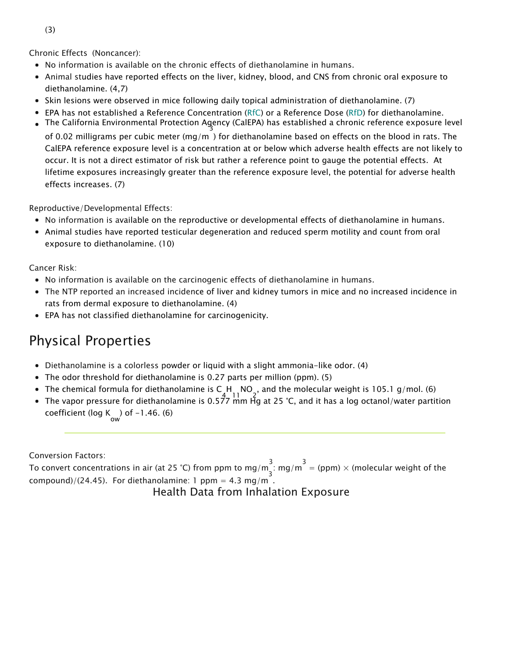Chronic Effects (Noncancer):

- No information is available on the chronic effects of diethanolamine in humans.
- Animal studies have reported effects on the liver, kidney, blood, and CNS from chronic oral exposure to diethanolamine. (4,7)
- Skin lesions were observed in mice following daily topical administration of diethanolamine. (7)
- EPA has not established a Reference Concentration ([RfC\)](https://www.epa.gov/haps/health-effects-notebook-glossary) or a Reference Dose ([RfD](https://www.epa.gov/haps/health-effects-notebook-glossary)) for diethanolamine.
- The California Environmental Protection Agency (CalEPA) has establ 3 ished a chronic reference exposure level

of 0.02 milligrams per cubic meter (mg/m ) for diethanolamine based on effects on the blood in rats. The CalEPA reference exposure level is a concentration at or below which adverse health effects are not likely to occur. It is not a direct estimator of risk but rather a reference point to gauge the potential effects. At lifetime exposures increasingly greater than the reference exposure level, the potential for adverse health effects increases. (7)

Reproductive/Developmental Effects:

- No information is available on the reproductive or developmental effects of diethanolamine in humans.
- Animal studies have reported testicular degeneration and reduced sperm motility and count from oral exposure to diethanolamine. (10)

Cancer Risk:

- No information is available on the carcinogenic effects of diethanolamine in humans.
- The NTP reported an increased incidence of liver and kidney tumors in mice and no increased incidence in rats from dermal exposure to diethanolamine. (4)
- EPA has not classified diethanolamine for carcinogenicity.

#### Physical Properties

- Diethanolamine is a colorless powder or liquid with a slight ammonia-like odor. (4)
- The odor threshold for diethanolamine is 0.27 parts per million (ppm). (5)
- The chemical formula for diethanolamine is C 4 H 11 NO 2 , and the molecular weight is 105.1 g/mol. (6)
- The vapor pressure for diethanolamine is 0.577 mm Hg at 25 °C, and it has a log octanol/water partition coefficient (log K ) of  $-1.46$ . (6)

Conversion Factors:

To convert concentrations in air (at 25 °C) from ppm to mg/m<sup>3</sup>: mg/m<sup>3</sup> = (ppm) × (molecular weight of the  $\mathsf{compound}) / (24.45)$ . For diethanolamine: 1 ppm = 4.3 mg/m.

Health Data from Inhalation Exposure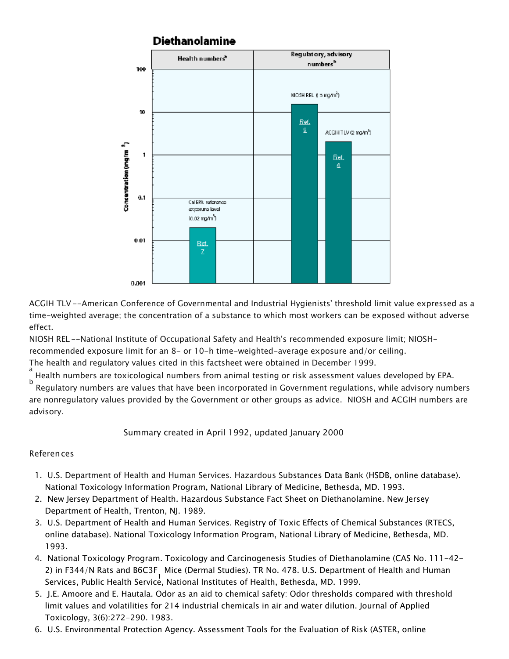

ACGIH TLV--American Conference of Governmental and Industrial Hygienists' threshold limit value expressed as a time-weighted average; the concentration of a substance to which most workers can be exposed without adverse effect.

NIOSH REL --National Institute of Occupational Safety and Health's recommended exposure limit; NIOSHrecommended exposure limit for an 8- or 10-h time-weighted-average exposure and/or ceiling.

The health and regulatory values cited in this factsheet were obtained in December 1999.

a Health numbers are toxicological numbers from animal testing or risk assessment values developed by EPA. b

 Regulatory numbers are values that have been incorporated in Government regulations, while advisory numbers are nonregulatory values provided by the Government or other groups as advice. NIOSH and ACGIH numbers are advisory.

Summary created in April 1992, updated January 2000

#### References

- 1. U.S. Department of Health and Human Services. Hazardous Substances Data Bank [\(HSDB, online database](http://toxnet.nlm.nih.gov/)). National Toxicology Information Program, National Library of Medicine, Bethesda, MD. 1993.
- 2. New Jersey Department of Health. Hazardous Substance Fact Sheet on Diethanolamine. New Jersey Department of Health, Trenton, NJ. 1989.
- 3. U.S. Department of Health and Human Services. Registry of Toxic Effects of Chemical Substances (RTECS, online database). National Toxicology Information Program, National Library of Medicine, Bethesda, MD. 1993.
- 4. [National Toxicology Program. Toxicology and Carcinogenesis Studies of Diethanolamine \(CAS No. 111-42-](http://ntp-server.niehs.nih.gov/htdocs/LT-studies/tr478.html) 2) in F344/N Rats and B6C3F<sub>,</sub> Mice (Dermal Studies). TR No. 478. U.S. Department of Health and Human 1 Services, Public Health Service, [National Institu](http://ntp-server.niehs.nih.gov/htdocs/LT-studies/tr478.html)tes of Health, Bethesda, MD. 1999.
- 5. J.E. Amoore and E. Hautala. Odor as an aid to chemical safety: Odor thresholds compared with threshold limit values and volatilities for 214 industrial chemicals in air and water dilution. Journal of Applied Toxicology, 3(6):272-290. 1983.
- 6. [U.S. Environmental Protection Agency. Assessment Tools for the Evaluation of Risk \(ASTER, online](https://www.epa.gov/med/Prods_Pubs/aster.htm)